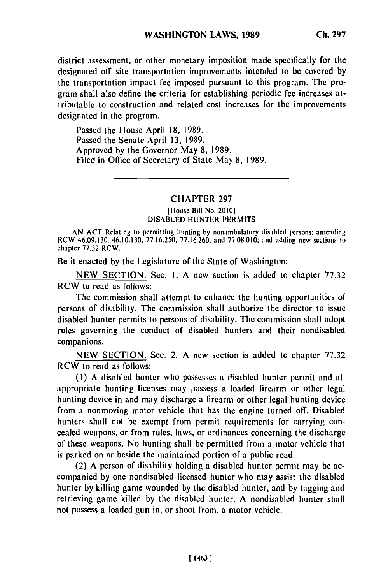district assessment, or other monetary imposition made specifically for the designated off-site transportation improvements intended to be covered **by** the transportation impact fee imposed pursuant to this program. The program shall also define the criteria for establishing periodic fee increases attributable to construction and related cost increases for the improvements designated in the program.

Passed the House April **18, 1989.** Passed the Senate April **13, 1989.** Approved **by** the Governor May **8, 1989.** Filed in Office of Secretary of State May **8, 1989.**

## CHAPTER **297**

## **[llouse Bill No. 20101 DISABLED HUNTER PERMITS**

**AN ACT Relating to permitting hunting by nonambulatory disabled persons; amending RCW 46.09.130, 46.10.130, 77.16.250, 77.16.260, and 77.08.010; and adding new sections to chapter 77.32 RCW.**

Be it enacted **by** the Legislature of the State of Washington:

**NEW SECTION.** Sec. **1. A** new section is added to chapter **77.32** RCW to read as follows:

The commission shall attempt to enhance the hunting opportunities of persons of disability. The commission shall authorize the director to issue disabled hunter permits to persons of disability. The commission shall adopt rules governing the conduct of disabled hunters and their nondisabled companions.

**NEW SECTION.** Sec. 2. **A** new section is added to chapter **77.32** RCW to read as follows:

**(I) A** disabled hunter who possesses a disabled hunter permit and all appropriate hunting licenses may possess a loaded firearm or other legal hunting device in and may discharge a firearm or other legal hunting device from a nonmoving motor vehicle that has the engine turned off. Disabled hunters shall not be exempt from permit requirements for carrying concealed weapons, or from rules, laws, or ordinances concerning the discharge of these weapons. No hunting shall **be** permitted from a motor vehicle that is parked on or beside the maintained portion of a public road.

(2) A person of disability holding a disabled hunter permit may be accompanied **by** one nondisabled licensed hunter who may assist the disabled hunter **by** killing game wounded **by** the disabled hunter, and **by** tagging and retrieving game killed **by** the disabled hunter. **A** nondisabled hunter shall not possess a loaded gun in, or shoot from, a motor vehicle.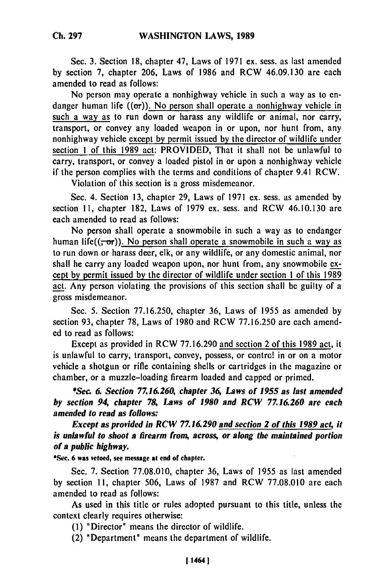Sec. **3.** Section 18, chapter 47, Laws of 1971 ex. sess. as last amended by section 7, chapter 206, Laws of 1986 and RCW 46.09.130 are each amended to read as follows:

No person may operate a nonhighway vehicle in such a way as to endanger human life  $((\sigma r))$ . No person shall operate a nonhighway vehicle in such a way as to run down or harass any wildlife or animal, nor carry, transport, or convey any loaded weapon in or upon, nor hunt from, any nonhighway vehicle except by permit issued by the director of wildlife under section 1 of this 1989 act: PROVIDED, That it shall not be unlawful to carry, transport, or convey a loaded pistol in or upon a nonhighway vehicle if the person complies with the terms and conditions of chapter 9.41 RCW.

Violation of this section is a gross misdemeanor.

Sec. 4. Section 13, chapter 29, Laws of 1971 ex. sess. as amended by section 11, chapter 182, Laws of 1979 ex. sess. and RCW 46.10.130 are each amended to read as follows:

No person shall operate a snowmobile in such a way as to endanger human life( $(-\sigma r)$ ). No person shall operate a snowmobile in such a way as to run down or harass deer, elk, or any wildlife, or any domestic animal, nor shall he carry any loaded weapon upon, nor hunt from, any snowmobile except by permit issued **by** the director of wildlife under section 1 of this 1989 act. Any person violating the provisions of this section shall be guilty of a gross misdemeanor.

Sec. 5. Section 77.16.250, chapter 36, Laws of 1955 as amended by section 93, chapter 78, Laws of 1980 and RCW 77.16.250 are each amended to read as follows:

Except as provided in RCW 77.16.290 and section 2 of this 1989 act, it is unlawful to carry, transport, convey, possess, or control in or on a motor vehicle a shotgun or rifle containing shells or cartridges in the magazine or chamber, or a muzzle-loading firearm loaded and capped or primed.

*\*Sec. 6 Section 7Z16.260, chapter 36 Laws of 1955 as last amended by section 94, chapter 78, Laws of 1980 and RCW 77.16.260 are each amended to read as follows:*

*Except as provided in RCW 7716.290 and section 2 of this 1989 act, it is unlawful to shoot a firearm from, across, or along the maintained portion of a public highway.*

**\*Sec. 6 was vetoed, see message at end of chapter.**

Sec. **7.** Section **77.08.010,** chapter **36,** Laws of **1955** as last amended **by** section **11,** chapter **506,** Laws of **1987** and RCW **77.08.010** are each amended to read as follows:

As used in this title or rules adopted pursuant to this title, unless the context clearly requires otherwise:

**(1)** "Director" means the director of wildlife.

(2) "Department" means the department of wildlife.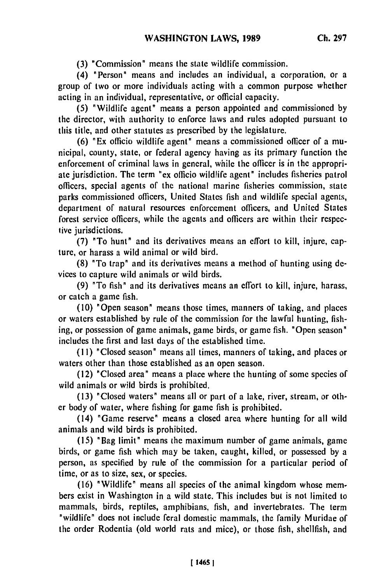**(3)** "Commission" means the state wildlife commission.

(4) "Person" means and includes an individual, a corporation, or a group of two or more individuals acting with a common purpose whether acting in an individual, representative, or official capacity,

**(5)** "Wildlife agent" means a person appointed and commissioned **by** the director, with authority to enforce laws and rules adopted pursuant to this title, and other statutes as prescribed **by** the legislature.

**(6)** "Ex officio wildlife agent" means a commissioned officer of a municipal, county, state, or federal agency having as its primary function the enforcement of criminal laws in general, while the officer is in the appropriate jurisdiction. The term **"ex** officio wildlife agent" includes fisheries patrol officers, special agents of the national marine fisheries commission, state parks commissioned officers, United States fish and wildlife special agents, department of natural resources enforcement officers, and United States forest service officers, while the agents and officers are within their respective jurisdictions.

**(7) "To** hunt" and its derivatives means an effort to kill, injure, capture, or harass a wild animal or wild bird.

**(8)** "To trap" and its derivatives means a method of hunting using devices to capture wild animals or wild birds.

**(9)** "To fish" and its derivatives means an effort to kill, injure, harass, or catch a game fish.

**(10)** "Open season" means those times, manners of taking, and places or waters established **by** rule of the commission for the lawful hunting, fishing, or possession of game animals, game birds, or game fish. "Open season" includes the first and last days of the established time.

**(11)** "Closed season" means all times, manners of taking, and places or waters other than those established as an open season.

(12) "Closed area" means a place where the hunting of some species of wild animals or wild birds is prohibited.

**(13)** "Closed waters" means all or part of a lake, river, stream, or other body of water, where fishing for game fish is prohibited.

(14) "Game reserve" means a closed area where hunting for all wild animals and wild birds is prohibited.

(15) "Bag limit" means the maximum number of game animals, game birds, or game fish which may be taken, caught, killed, or possessed by a person, as specified by rule of the commission for a particular period of time, or as to size, sex, or species.

(16) "Wildlife" means all species of the animal kingdom whose members exist in Washington in a wild state. This includes but is not limited to mammals, birds, reptiles, amphibians, fish, and invertebrates. The term "wildlife" does not include feral domestic mammals, the family Muridae of the order Rodentia (old world rats and mice), or those fish, shellfish, and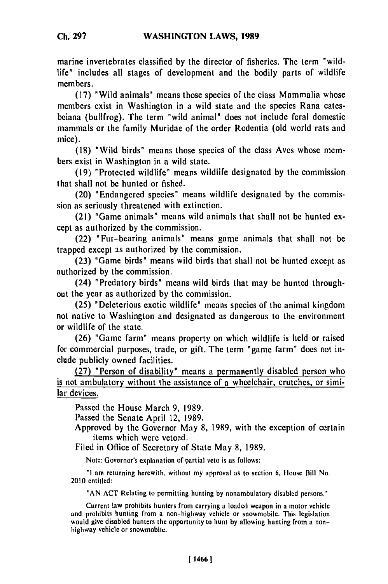marine invertebrates classified **by** the director of fisheries. The term "wildlife" includes all stages of development and the bodily parts of wildlife members.

(17) "Wild animals" means those species of the class Mammalia whose members exist in Washington in a wild state and the species Rana catesbeiana (bullfrog). The term "wild animal" does not include feral domestic mammals or the family Muridae of the order Rodentia (old world rats and mice).

(18) "Wild birds" means those species of the class Ayes whose members exist in Washington in a wild state.

(19) " Protected wildlife" means wildlife designated by the commission that shall not be hunted or fished.

(20) "Endangered species" means wildlife designated by the commission as seriously threatened with extinction.

(21) "Game animals" means wild animals that shall not be hunted except as authorized by the commission.

(22) "Fur-bearing animals" means game animals that shall not be trapped except as authorized by the commission.

(23) "Game birds" means wild birds that shall not be hunted except as authorized by the commission.

(24) "Predatory birds" means wild birds that may be hunted throughout the year as authorized by the commission.

(25) "Deleterious exotic wildlife" means species of the animal kingdom not native to Washington and designated as dangerous to the environment or wildlife of the state.

(26) "Game farm" means property on which wildlife is held or raised for commercial purposes, trade, or gift. The term "game farm" does not include publicly owned facilities.

**(27)** "Person of disability" means a permanently disabled person who is not ambulatory without the assistance of a wheelchair, crutches, or similar devices.

Passed the House March 9, 1989.

Passed the Senate April 12, 1989.

Approved by the Governor May 8, 1989, with the exception of certain items which were vetoed.

Filed in Office of Secretary of State May 8, 1989.

Note: Governor's explanation of partial veto is as follows:

*"I* am returning herewith, without my approval as to section **6,** Housc Bill No. 2010 entitled:

**"AN** ACT Relating to permitting hunting by nonambulatory disabled persons.'

Current law prohibits hunters from carrying a loaded weapon in a motor vehicle and prohibits hunting from a non-highway vehicle or snowmobile. This legislation would give disabled hunters the opportunity to hunt by allowing hunting from a non-<br>highway vehicle or snowmobile.